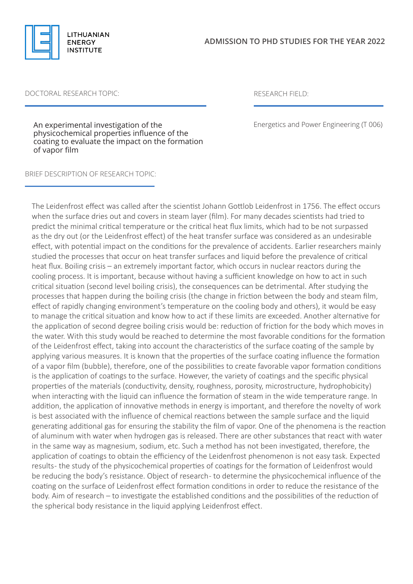

## DOCTORAL RESEARCH TOPIC: RESEARCH FIELD:

Energetics and Power Engineering (T 006)

An experimental investigation of the physicochemical properties influence of the coating to evaluate the impact on the formation of vapor film

## BRIEF DESCRIPTION OF RESEARCH TOPIC:

The Leidenfrost effect was called after the scientist Johann Gottlob Leidenfrost in 1756. The effect occurs when the surface dries out and covers in steam layer (film). For many decades scientists had tried to predict the minimal critical temperature or the critical heat flux limits, which had to be not surpassed as the dry out (or the Leidenfrost effect) of the heat transfer surface was considered as an undesirable effect, with potential impact on the conditions for the prevalence of accidents. Earlier researchers mainly studied the processes that occur on heat transfer surfaces and liquid before the prevalence of critical heat flux. Boiling crisis – an extremely important factor, which occurs in nuclear reactors during the cooling process. It is important, because without having a sufficient knowledge on how to act in such critical situation (second level boiling crisis), the consequences can be detrimental. After studying the processes that happen during the boiling crisis (the change in friction between the body and steam film, effect of rapidly changing environment's temperature on the cooling body and others), it would be easy to manage the critical situation and know how to act if these limits are exceeded. Another alternative for the application of second degree boiling crisis would be: reduction of friction for the body which moves in the water. With this study would be reached to determine the most favorable conditions for the formation of the Leidenfrost effect, taking into account the characteristics of the surface coating of the sample by applying various measures. It is known that the properties of the surface coating influence the formation of a vapor film (bubble), therefore, one of the possibilities to create favorable vapor formation conditions is the application of coatings to the surface. However, the variety of coatings and the specific physical properties of the materials (conductivity, density, roughness, porosity, microstructure, hydrophobicity) when interacting with the liquid can influence the formation of steam in the wide temperature range. In addition, the application of innovative methods in energy is important, and therefore the novelty of work is best associated with the influence of chemical reactions between the sample surface and the liquid generating additional gas for ensuring the stability the film of vapor. One of the phenomena is the reaction of aluminum with water when hydrogen gas is released. There are other substances that react with water in the same way as magnesium, sodium, etc. Such a method has not been investigated, therefore, the application of coatings to obtain the efficiency of the Leidenfrost phenomenon is not easy task. Expected results- the study of the physicochemical properties of coatings for the formation of Leidenfrost would be reducing the body's resistance. Object of research - to determine the physicochemical influence of the coating on the surface of Leidenfrost effect formation conditions in order to reduce the resistance of the body. Aim of research – to investigate the established conditions and the possibilities of the reduction of the spherical body resistance in the liquid applying Leidenfrost effect.